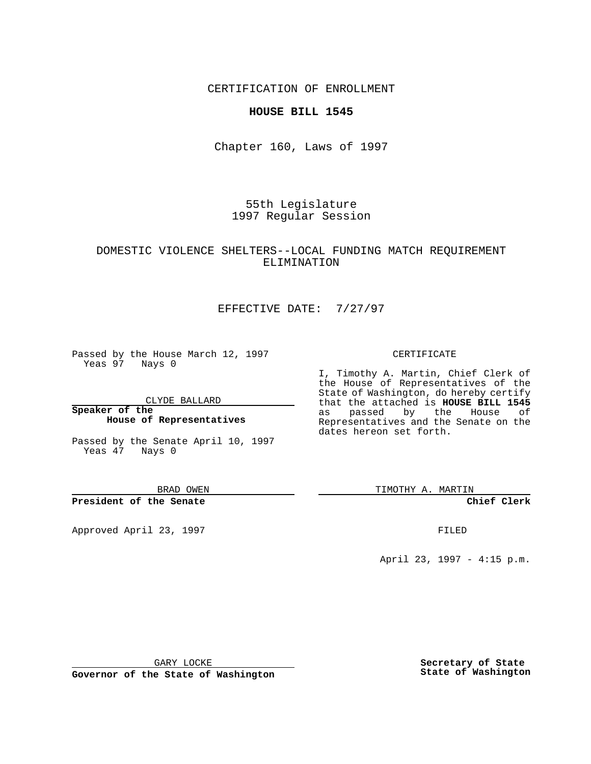CERTIFICATION OF ENROLLMENT

### **HOUSE BILL 1545**

Chapter 160, Laws of 1997

55th Legislature 1997 Regular Session

### DOMESTIC VIOLENCE SHELTERS--LOCAL FUNDING MATCH REQUIREMENT ELIMINATION

# EFFECTIVE DATE: 7/27/97

Passed by the House March 12, 1997 Yeas 97 Nays 0

CLYDE BALLARD

**Speaker of the House of Representatives**

Passed by the Senate April 10, 1997 Yeas 47 Nays 0

BRAD OWEN

**President of the Senate**

Approved April 23, 1997 **FILED** 

#### CERTIFICATE

I, Timothy A. Martin, Chief Clerk of the House of Representatives of the State of Washington, do hereby certify that the attached is **HOUSE BILL 1545** as passed by the House of Representatives and the Senate on the dates hereon set forth.

TIMOTHY A. MARTIN

**Chief Clerk**

April 23, 1997 - 4:15 p.m.

GARY LOCKE

**Governor of the State of Washington**

**Secretary of State State of Washington**